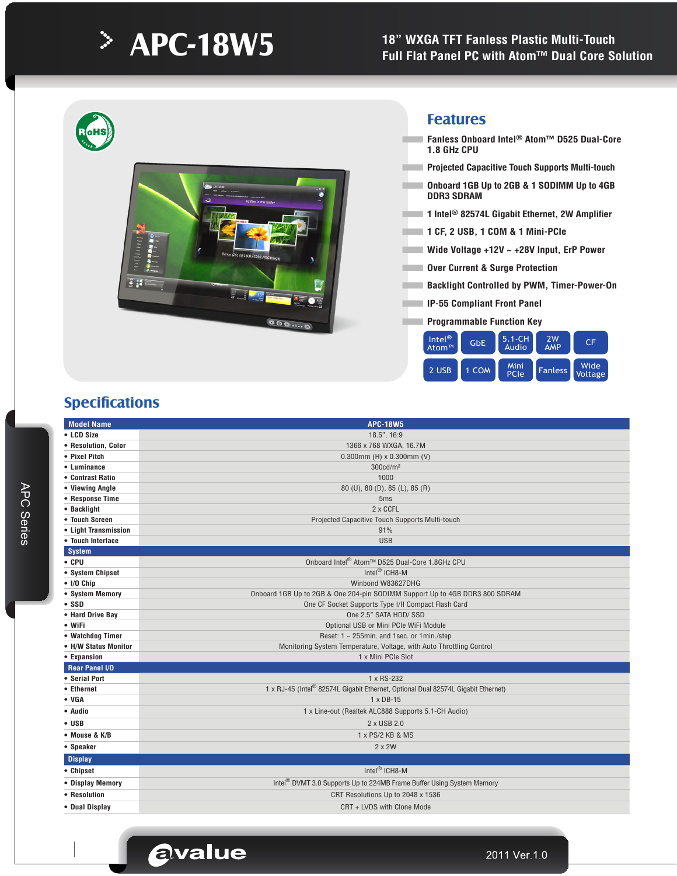# **APC-18W5**

### **18" WXGA TFT Fanless Plastic Multi-Touch Full Flat Panel PC with Atom™ Dual Core Solution**



## **Specifications**

APC Series

**APC Series** 

| <b>Model Name</b>                      | <b>APC-18W5</b>                                                                               |
|----------------------------------------|-----------------------------------------------------------------------------------------------|
| • LCD Size                             | 18.5", 16:9                                                                                   |
| • Resolution, Color                    | 1366 x 768 WXGA, 16.7M                                                                        |
| • Pixel Pitch                          | 0.300mm (H) $\times$ 0.300mm (V)                                                              |
| • Luminance                            | 300cd/m <sup>2</sup>                                                                          |
| • Contrast Ratio                       | 1000                                                                                          |
| • Viewing Angle                        | 80 (U), 80 (D), 85 (L), 85 (R)                                                                |
| • Response Time                        | 5ms                                                                                           |
| • Backlight                            | $2 \times$ CCFL                                                                               |
| • Touch Screen                         | Projected Capacitive Touch Supports Multi-touch                                               |
| • Light Transmission                   | 91%                                                                                           |
| • Touch Interface                      | <b>USB</b>                                                                                    |
| <b>System</b>                          |                                                                                               |
| $\bullet$ CPU                          | Onboard Intel <sup>®</sup> Atom™ D525 Dual-Core 1.8GHz CPU                                    |
| • System Chipset                       | Intel <sup>®</sup> ICH8-M                                                                     |
| $\bullet$ I/O Chip                     | Winbond W83627DHG                                                                             |
| • System Memory                        | Onboard 1GB Up to 2GB & One 204-pin SODIMM Support Up to 4GB DDR3 800 SDRAM                   |
| • SSD                                  | One CF Socket Supports Type I/II Compact Flash Card                                           |
| • Hard Drive Bay                       | One 2.5" SATA HDD/ SSD                                                                        |
| • WiFi                                 | Optional USB or Mini PCIe WiFi Module                                                         |
| • Watchdog Timer                       | Reset: 1 ~ 255min. and 1sec. or 1min./step                                                    |
| • H/W Status Monitor                   | Monitoring System Temperature, Voltage, with Auto Throttling Control                          |
| • Expansion                            | 1 x Mini PCIe Slot                                                                            |
| <b>Rear Panel I/O</b><br>• Serial Port | 1 x RS-232                                                                                    |
| • Ethernet                             | 1 x RJ-45 (Intel <sup>®</sup> 82574L Gigabit Ethernet, Optional Dual 82574L Gigabit Ethernet) |
| $\bullet$ VGA                          | $1 \times DB-15$                                                                              |
| • Audio                                | 1 x Line-out (Realtek ALC888 Supports 5.1-CH Audio)                                           |
| $\bullet$ USB                          | 2 x USB 2.0                                                                                   |
|                                        |                                                                                               |
| • Mouse & K/B                          | 1 x PS/2 KB & MS                                                                              |
| • Speaker                              | $2 \times 2W$                                                                                 |
| <b>Display</b>                         |                                                                                               |
| • Chipset                              | Intel <sup>®</sup> ICH8-M                                                                     |
| • Display Memory                       | Intel <sup>®</sup> DVMT 3.0 Supports Up to 224MB Frame Buffer Using System Memory             |
| • Resolution                           | CRT Resolutions Up to 2048 x 1536                                                             |
| • Dual Display                         | CRT + LVDS with Clone Mode                                                                    |
|                                        |                                                                                               |